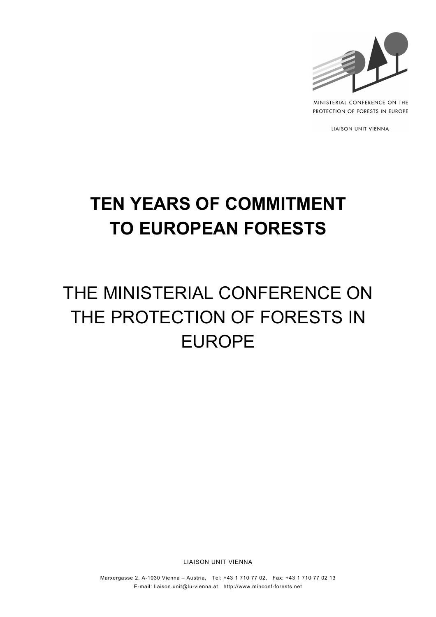

MINISTERIAL CONFERENCE ON THE PROTECTION OF FORESTS IN EUROPE

LIAISON UNIT VIENNA

# **TEN YEARS OF COMMITMENT TO EUROPEAN FORESTS**

# THE MINISTERIAL CONFERENCE ON THE PROTECTION OF FORESTS IN EUROPE

LIAISON UNIT VIENNA

Marxergasse 2, A-1030 Vienna – Austria, Tel: +43 1 710 77 02, Fax: +43 1 710 77 02 13 E-mail: liaison.unit@lu-vienna.at http://www.minconf-forests.net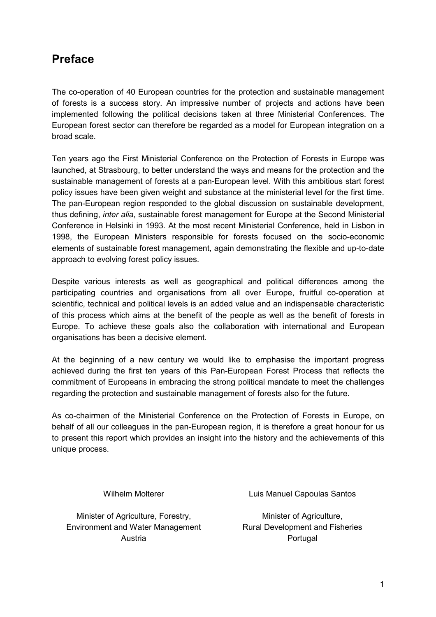# **Preface**

The co-operation of 40 European countries for the protection and sustainable management of forests is a success story. An impressive number of projects and actions have been implemented following the political decisions taken at three Ministerial Conferences. The European forest sector can therefore be regarded as a model for European integration on a broad scale.

Ten years ago the First Ministerial Conference on the Protection of Forests in Europe was launched, at Strasbourg, to better understand the ways and means for the protection and the sustainable management of forests at a pan-European level. With this ambitious start forest policy issues have been given weight and substance at the ministerial level for the first time. The pan-European region responded to the global discussion on sustainable development, thus defining, *inter alia*, sustainable forest management for Europe at the Second Ministerial Conference in Helsinki in 1993. At the most recent Ministerial Conference, held in Lisbon in 1998, the European Ministers responsible for forests focused on the socio-economic elements of sustainable forest management, again demonstrating the flexible and up-to-date approach to evolving forest policy issues.

Despite various interests as well as geographical and political differences among the participating countries and organisations from all over Europe, fruitful co-operation at scientific, technical and political levels is an added value and an indispensable characteristic of this process which aims at the benefit of the people as well as the benefit of forests in Europe. To achieve these goals also the collaboration with international and European organisations has been a decisive element.

At the beginning of a new century we would like to emphasise the important progress achieved during the first ten years of this Pan-European Forest Process that reflects the commitment of Europeans in embracing the strong political mandate to meet the challenges regarding the protection and sustainable management of forests also for the future.

As co-chairmen of the Ministerial Conference on the Protection of Forests in Europe, on behalf of all our colleagues in the pan-European region, it is therefore a great honour for us to present this report which provides an insight into the history and the achievements of this unique process.

Minister of Agriculture, Forestry, Environment and Water Management Austria **Portugal** 

Wilhelm Molterer **Luis Manuel Capoulas Santos** 

Minister of Agriculture, Rural Development and Fisheries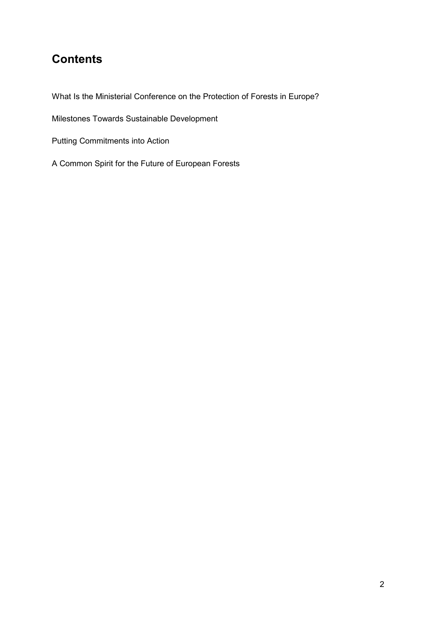# **Contents**

What Is the Ministerial Conference on the Protection of Forests in Europe?

Milestones Towards Sustainable Development

Putting Commitments into Action

A Common Spirit for the Future of European Forests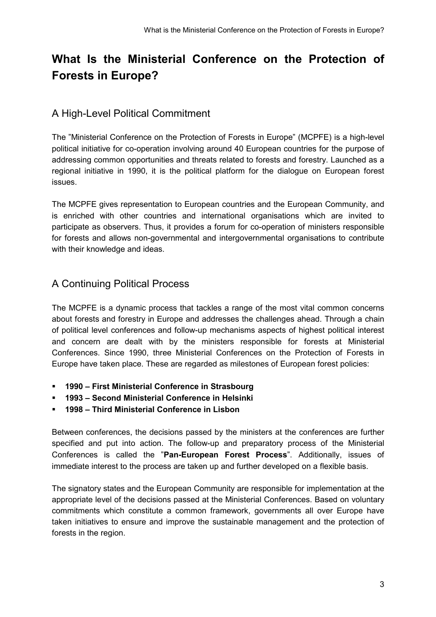# **What Is the Ministerial Conference on the Protection of Forests in Europe?**

### A High-Level Political Commitment

The "Ministerial Conference on the Protection of Forests in Europe" (MCPFE) is a high-level political initiative for co-operation involving around 40 European countries for the purpose of addressing common opportunities and threats related to forests and forestry. Launched as a regional initiative in 1990, it is the political platform for the dialogue on European forest issues.

The MCPFE gives representation to European countries and the European Community, and is enriched with other countries and international organisations which are invited to participate as observers. Thus, it provides a forum for co-operation of ministers responsible for forests and allows non-governmental and intergovernmental organisations to contribute with their knowledge and ideas.

### A Continuing Political Process

The MCPFE is a dynamic process that tackles a range of the most vital common concerns about forests and forestry in Europe and addresses the challenges ahead. Through a chain of political level conferences and follow-up mechanisms aspects of highest political interest and concern are dealt with by the ministers responsible for forests at Ministerial Conferences. Since 1990, three Ministerial Conferences on the Protection of Forests in Europe have taken place. These are regarded as milestones of European forest policies:

- **1990 First Ministerial Conference in Strasbourg**
- **1993 Second Ministerial Conference in Helsinki**
- **1998 Third Ministerial Conference in Lisbon**

Between conferences, the decisions passed by the ministers at the conferences are further specified and put into action. The follow-up and preparatory process of the Ministerial Conferences is called the "**Pan-European Forest Process**". Additionally, issues of immediate interest to the process are taken up and further developed on a flexible basis.

The signatory states and the European Community are responsible for implementation at the appropriate level of the decisions passed at the Ministerial Conferences. Based on voluntary commitments which constitute a common framework, governments all over Europe have taken initiatives to ensure and improve the sustainable management and the protection of forests in the region.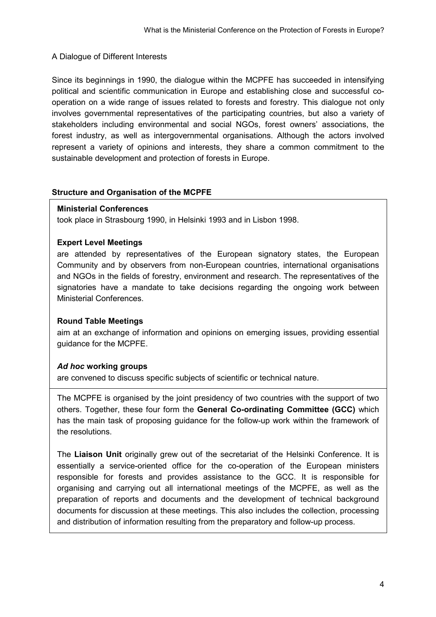#### A Dialogue of Different Interests

Since its beginnings in 1990, the dialogue within the MCPFE has succeeded in intensifying political and scientific communication in Europe and establishing close and successful cooperation on a wide range of issues related to forests and forestry. This dialogue not only involves governmental representatives of the participating countries, but also a variety of stakeholders including environmental and social NGOs, forest owners' associations, the forest industry, as well as intergovernmental organisations. Although the actors involved represent a variety of opinions and interests, they share a common commitment to the sustainable development and protection of forests in Europe.

#### **Structure and Organisation of the MCPFE**

#### **Ministerial Conferences**

took place in Strasbourg 1990, in Helsinki 1993 and in Lisbon 1998.

#### **Expert Level Meetings**

are attended by representatives of the European signatory states, the European Community and by observers from non-European countries, international organisations and NGOs in the fields of forestry, environment and research. The representatives of the signatories have a mandate to take decisions regarding the ongoing work between Ministerial Conferences.

#### **Round Table Meetings**

aim at an exchange of information and opinions on emerging issues, providing essential guidance for the MCPFE.

#### *Ad hoc* **working groups**

are convened to discuss specific subjects of scientific or technical nature.

The MCPFE is organised by the joint presidency of two countries with the support of two others. Together, these four form the **General Co-ordinating Committee (GCC)** which has the main task of proposing guidance for the follow-up work within the framework of the resolutions.

The **Liaison Unit** originally grew out of the secretariat of the Helsinki Conference. It is essentially a service-oriented office for the co-operation of the European ministers responsible for forests and provides assistance to the GCC. It is responsible for organising and carrying out all international meetings of the MCPFE, as well as the preparation of reports and documents and the development of technical background documents for discussion at these meetings. This also includes the collection, processing and distribution of information resulting from the preparatory and follow-up process.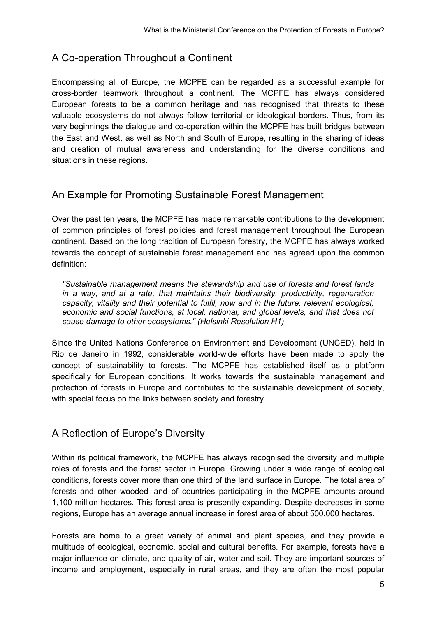# A Co-operation Throughout a Continent

Encompassing all of Europe, the MCPFE can be regarded as a successful example for cross-border teamwork throughout a continent. The MCPFE has always considered European forests to be a common heritage and has recognised that threats to these valuable ecosystems do not always follow territorial or ideological borders. Thus, from its very beginnings the dialogue and co-operation within the MCPFE has built bridges between the East and West, as well as North and South of Europe, resulting in the sharing of ideas and creation of mutual awareness and understanding for the diverse conditions and situations in these regions.

### An Example for Promoting Sustainable Forest Management

Over the past ten years, the MCPFE has made remarkable contributions to the development of common principles of forest policies and forest management throughout the European continent. Based on the long tradition of European forestry, the MCPFE has always worked towards the concept of sustainable forest management and has agreed upon the common definition:

*"Sustainable management means the stewardship and use of forests and forest lands in a way, and at a rate, that maintains their biodiversity, productivity, regeneration capacity, vitality and their potential to fulfil, now and in the future, relevant ecological, economic and social functions, at local, national, and global levels, and that does not cause damage to other ecosystems." (Helsinki Resolution H1)*

Since the United Nations Conference on Environment and Development (UNCED), held in Rio de Janeiro in 1992, considerable world-wide efforts have been made to apply the concept of sustainability to forests. The MCPFE has established itself as a platform specifically for European conditions. It works towards the sustainable management and protection of forests in Europe and contributes to the sustainable development of society, with special focus on the links between society and forestry.

### A Reflection of Europe's Diversity

Within its political framework, the MCPFE has always recognised the diversity and multiple roles of forests and the forest sector in Europe. Growing under a wide range of ecological conditions, forests cover more than one third of the land surface in Europe. The total area of forests and other wooded land of countries participating in the MCPFE amounts around 1,100 million hectares. This forest area is presently expanding. Despite decreases in some regions, Europe has an average annual increase in forest area of about 500,000 hectares.

Forests are home to a great variety of animal and plant species, and they provide a multitude of ecological, economic, social and cultural benefits. For example, forests have a major influence on climate, and quality of air, water and soil. They are important sources of income and employment, especially in rural areas, and they are often the most popular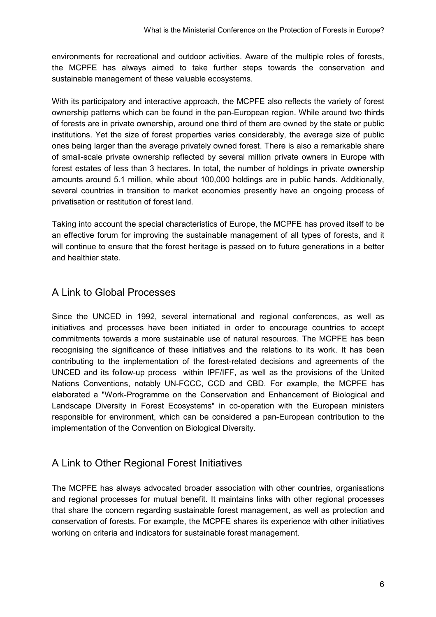environments for recreational and outdoor activities. Aware of the multiple roles of forests, the MCPFE has always aimed to take further steps towards the conservation and sustainable management of these valuable ecosystems.

With its participatory and interactive approach, the MCPFE also reflects the variety of forest ownership patterns which can be found in the pan-European region. While around two thirds of forests are in private ownership, around one third of them are owned by the state or public institutions. Yet the size of forest properties varies considerably, the average size of public ones being larger than the average privately owned forest. There is also a remarkable share of small-scale private ownership reflected by several million private owners in Europe with forest estates of less than 3 hectares. In total, the number of holdings in private ownership amounts around 5.1 million, while about 100,000 holdings are in public hands. Additionally, several countries in transition to market economies presently have an ongoing process of privatisation or restitution of forest land.

Taking into account the special characteristics of Europe, the MCPFE has proved itself to be an effective forum for improving the sustainable management of all types of forests, and it will continue to ensure that the forest heritage is passed on to future generations in a better and healthier state.

### A Link to Global Processes

Since the UNCED in 1992, several international and regional conferences, as well as initiatives and processes have been initiated in order to encourage countries to accept commitments towards a more sustainable use of natural resources. The MCPFE has been recognising the significance of these initiatives and the relations to its work. It has been contributing to the implementation of the forest-related decisions and agreements of the UNCED and its follow-up process within IPF/IFF, as well as the provisions of the United Nations Conventions, notably UN-FCCC, CCD and CBD. For example, the MCPFE has elaborated a "Work-Programme on the Conservation and Enhancement of Biological and Landscape Diversity in Forest Ecosystems" in co-operation with the European ministers responsible for environment, which can be considered a pan-European contribution to the implementation of the Convention on Biological Diversity.

### A Link to Other Regional Forest Initiatives

The MCPFE has always advocated broader association with other countries, organisations and regional processes for mutual benefit. It maintains links with other regional processes that share the concern regarding sustainable forest management, as well as protection and conservation of forests. For example, the MCPFE shares its experience with other initiatives working on criteria and indicators for sustainable forest management.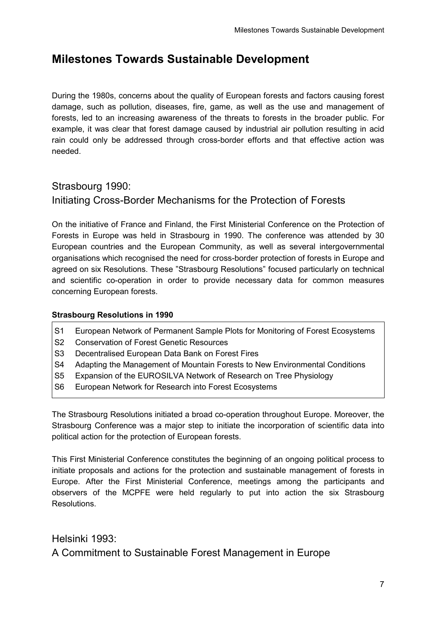# **Milestones Towards Sustainable Development**

During the 1980s, concerns about the quality of European forests and factors causing forest damage, such as pollution, diseases, fire, game, as well as the use and management of forests, led to an increasing awareness of the threats to forests in the broader public. For example, it was clear that forest damage caused by industrial air pollution resulting in acid rain could only be addressed through cross-border efforts and that effective action was needed.

### Strasbourg 1990:

### Initiating Cross-Border Mechanisms for the Protection of Forests

On the initiative of France and Finland, the First Ministerial Conference on the Protection of Forests in Europe was held in Strasbourg in 1990. The conference was attended by 30 European countries and the European Community, as well as several intergovernmental organisations which recognised the need for cross-border protection of forests in Europe and agreed on six Resolutions. These "Strasbourg Resolutions" focused particularly on technical and scientific co-operation in order to provide necessary data for common measures concerning European forests.

#### **Strasbourg Resolutions in 1990**

- S1 European Network of Permanent Sample Plots for Monitoring of Forest Ecosystems
- S2 Conservation of Forest Genetic Resources
- S3 Decentralised European Data Bank on Forest Fires
- S4 Adapting the Management of Mountain Forests to New Environmental Conditions
- S5 Expansion of the EUROSILVA Network of Research on Tree Physiology
- S6 European Network for Research into Forest Ecosystems

The Strasbourg Resolutions initiated a broad co-operation throughout Europe. Moreover, the Strasbourg Conference was a major step to initiate the incorporation of scientific data into political action for the protection of European forests.

This First Ministerial Conference constitutes the beginning of an ongoing political process to initiate proposals and actions for the protection and sustainable management of forests in Europe. After the First Ministerial Conference, meetings among the participants and observers of the MCPFE were held regularly to put into action the six Strasbourg **Resolutions** 

#### Helsinki 1993:

A Commitment to Sustainable Forest Management in Europe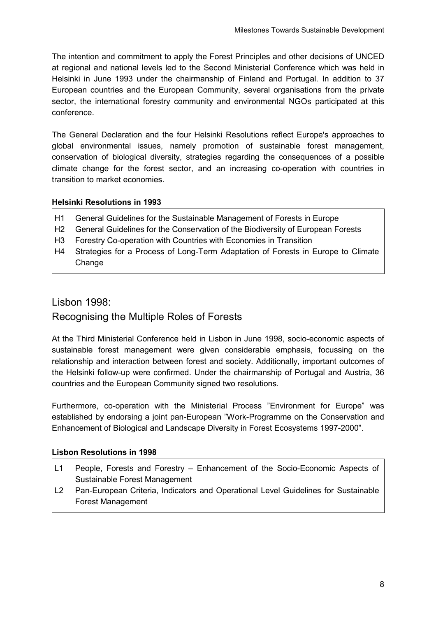The intention and commitment to apply the Forest Principles and other decisions of UNCED at regional and national levels led to the Second Ministerial Conference which was held in Helsinki in June 1993 under the chairmanship of Finland and Portugal. In addition to 37 European countries and the European Community, several organisations from the private sector, the international forestry community and environmental NGOs participated at this conference.

The General Declaration and the four Helsinki Resolutions reflect Europe's approaches to global environmental issues, namely promotion of sustainable forest management, conservation of biological diversity, strategies regarding the consequences of a possible climate change for the forest sector, and an increasing co-operation with countries in transition to market economies.

#### **Helsinki Resolutions in 1993**

- H1 General Guidelines for the Sustainable Management of Forests in Europe
- H2 General Guidelines for the Conservation of the Biodiversity of European Forests
- H3 Forestry Co-operation with Countries with Economies in Transition
- H4 Strategies for a Process of Long-Term Adaptation of Forests in Europe to Climate Change

# Lisbon 1998: Recognising the Multiple Roles of Forests

At the Third Ministerial Conference held in Lisbon in June 1998, socio-economic aspects of sustainable forest management were given considerable emphasis, focussing on the relationship and interaction between forest and society. Additionally, important outcomes of the Helsinki follow-up were confirmed. Under the chairmanship of Portugal and Austria, 36 countries and the European Community signed two resolutions.

Furthermore, co-operation with the Ministerial Process "Environment for Europe" was established by endorsing a joint pan-European "Work-Programme on the Conservation and Enhancement of Biological and Landscape Diversity in Forest Ecosystems 1997-2000".

#### **Lisbon Resolutions in 1998**

- L1 People, Forests and Forestry Enhancement of the Socio-Economic Aspects of Sustainable Forest Management
- L2 Pan-European Criteria, Indicators and Operational Level Guidelines for Sustainable Forest Management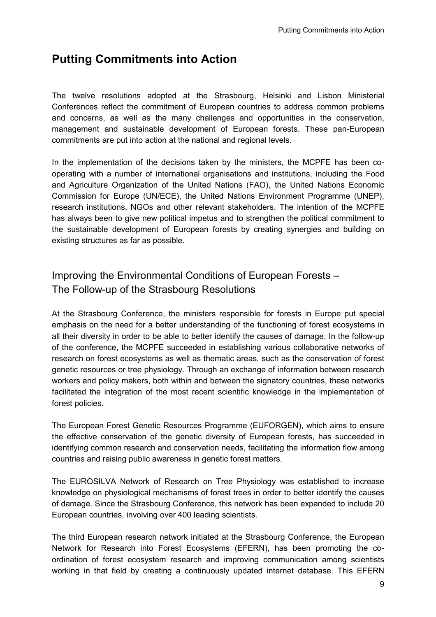# **Putting Commitments into Action**

The twelve resolutions adopted at the Strasbourg, Helsinki and Lisbon Ministerial Conferences reflect the commitment of European countries to address common problems and concerns, as well as the many challenges and opportunities in the conservation, management and sustainable development of European forests. These pan-European commitments are put into action at the national and regional levels.

In the implementation of the decisions taken by the ministers, the MCPFE has been cooperating with a number of international organisations and institutions, including the Food and Agriculture Organization of the United Nations (FAO), the United Nations Economic Commission for Europe (UN/ECE), the United Nations Environment Programme (UNEP), research institutions, NGOs and other relevant stakeholders. The intention of the MCPFE has always been to give new political impetus and to strengthen the political commitment to the sustainable development of European forests by creating synergies and building on existing structures as far as possible.

# Improving the Environmental Conditions of European Forests – The Follow-up of the Strasbourg Resolutions

At the Strasbourg Conference, the ministers responsible for forests in Europe put special emphasis on the need for a better understanding of the functioning of forest ecosystems in all their diversity in order to be able to better identify the causes of damage. In the follow-up of the conference, the MCPFE succeeded in establishing various collaborative networks of research on forest ecosystems as well as thematic areas, such as the conservation of forest genetic resources or tree physiology. Through an exchange of information between research workers and policy makers, both within and between the signatory countries, these networks facilitated the integration of the most recent scientific knowledge in the implementation of forest policies.

The European Forest Genetic Resources Programme (EUFORGEN), which aims to ensure the effective conservation of the genetic diversity of European forests, has succeeded in identifying common research and conservation needs, facilitating the information flow among countries and raising public awareness in genetic forest matters.

The EUROSILVA Network of Research on Tree Physiology was established to increase knowledge on physiological mechanisms of forest trees in order to better identify the causes of damage. Since the Strasbourg Conference, this network has been expanded to include 20 European countries, involving over 400 leading scientists.

The third European research network initiated at the Strasbourg Conference, the European Network for Research into Forest Ecosystems (EFERN), has been promoting the coordination of forest ecosystem research and improving communication among scientists working in that field by creating a continuously updated internet database. This EFERN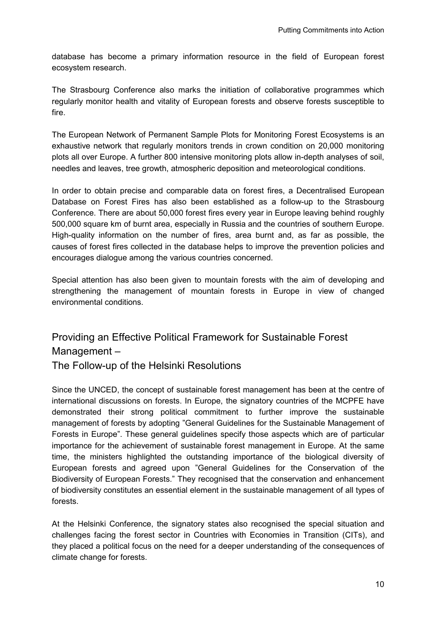database has become a primary information resource in the field of European forest ecosystem research.

The Strasbourg Conference also marks the initiation of collaborative programmes which regularly monitor health and vitality of European forests and observe forests susceptible to fire.

The European Network of Permanent Sample Plots for Monitoring Forest Ecosystems is an exhaustive network that regularly monitors trends in crown condition on 20,000 monitoring plots all over Europe. A further 800 intensive monitoring plots allow in-depth analyses of soil, needles and leaves, tree growth, atmospheric deposition and meteorological conditions.

In order to obtain precise and comparable data on forest fires, a Decentralised European Database on Forest Fires has also been established as a follow-up to the Strasbourg Conference. There are about 50,000 forest fires every year in Europe leaving behind roughly 500,000 square km of burnt area, especially in Russia and the countries of southern Europe. High-quality information on the number of fires, area burnt and, as far as possible, the causes of forest fires collected in the database helps to improve the prevention policies and encourages dialogue among the various countries concerned.

Special attention has also been given to mountain forests with the aim of developing and strengthening the management of mountain forests in Europe in view of changed environmental conditions.

# Providing an Effective Political Framework for Sustainable Forest Management –

The Follow-up of the Helsinki Resolutions

Since the UNCED, the concept of sustainable forest management has been at the centre of international discussions on forests. In Europe, the signatory countries of the MCPFE have demonstrated their strong political commitment to further improve the sustainable management of forests by adopting "General Guidelines for the Sustainable Management of Forests in Europe". These general guidelines specify those aspects which are of particular importance for the achievement of sustainable forest management in Europe. At the same time, the ministers highlighted the outstanding importance of the biological diversity of European forests and agreed upon "General Guidelines for the Conservation of the Biodiversity of European Forests." They recognised that the conservation and enhancement of biodiversity constitutes an essential element in the sustainable management of all types of forests.

At the Helsinki Conference, the signatory states also recognised the special situation and challenges facing the forest sector in Countries with Economies in Transition (CITs), and they placed a political focus on the need for a deeper understanding of the consequences of climate change for forests.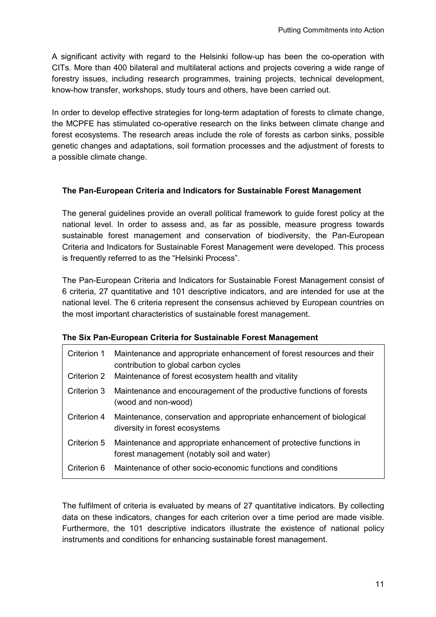A significant activity with regard to the Helsinki follow-up has been the co-operation with CITs. More than 400 bilateral and multilateral actions and projects covering a wide range of forestry issues, including research programmes, training projects, technical development, know-how transfer, workshops, study tours and others, have been carried out.

In order to develop effective strategies for long-term adaptation of forests to climate change, the MCPFE has stimulated co-operative research on the links between climate change and forest ecosystems. The research areas include the role of forests as carbon sinks, possible genetic changes and adaptations, soil formation processes and the adjustment of forests to a possible climate change.

#### **The Pan-European Criteria and Indicators for Sustainable Forest Management**

The general guidelines provide an overall political framework to guide forest policy at the national level. In order to assess and, as far as possible, measure progress towards sustainable forest management and conservation of biodiversity, the Pan-European Criteria and Indicators for Sustainable Forest Management were developed. This process is frequently referred to as the "Helsinki Process".

The Pan-European Criteria and Indicators for Sustainable Forest Management consist of 6 criteria, 27 quantitative and 101 descriptive indicators, and are intended for use at the national level. The 6 criteria represent the consensus achieved by European countries on the most important characteristics of sustainable forest management.

#### **The Six Pan-European Criteria for Sustainable Forest Management**

| Criterion 1 | Maintenance and appropriate enhancement of forest resources and their<br>contribution to global carbon cycles<br>Criterion 2 Maintenance of forest ecosystem health and vitality |
|-------------|----------------------------------------------------------------------------------------------------------------------------------------------------------------------------------|
| Criterion 3 | Maintenance and encouragement of the productive functions of forests<br>(wood and non-wood)                                                                                      |
| Criterion 4 | Maintenance, conservation and appropriate enhancement of biological<br>diversity in forest ecosystems                                                                            |
|             | Criterion 5 Maintenance and appropriate enhancement of protective functions in<br>forest management (notably soil and water)                                                     |
| Criterion 6 | Maintenance of other socio-economic functions and conditions                                                                                                                     |

The fulfilment of criteria is evaluated by means of 27 quantitative indicators. By collecting data on these indicators, changes for each criterion over a time period are made visible. Furthermore, the 101 descriptive indicators illustrate the existence of national policy instruments and conditions for enhancing sustainable forest management.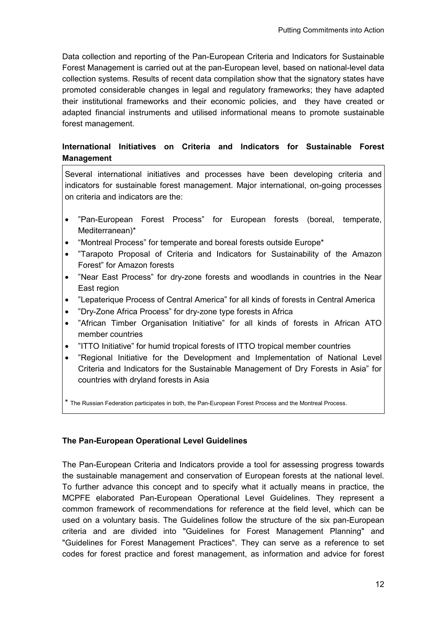Data collection and reporting of the Pan-European Criteria and Indicators for Sustainable Forest Management is carried out at the pan-European level, based on national-level data collection systems. Results of recent data compilation show that the signatory states have promoted considerable changes in legal and regulatory frameworks; they have adapted their institutional frameworks and their economic policies, and they have created or adapted financial instruments and utilised informational means to promote sustainable forest management.

#### **International Initiatives on Criteria and Indicators for Sustainable Forest Management**

Several international initiatives and processes have been developing criteria and indicators for sustainable forest management. Major international, on-going processes on criteria and indicators are the:

- "Pan-European Forest Process" for European forests (boreal, temperate, Mediterranean)\*
- "Montreal Process" for temperate and boreal forests outside Europe\*
- "Tarapoto Proposal of Criteria and Indicators for Sustainability of the Amazon Forest" for Amazon forests
- "Near East Process" for dry-zone forests and woodlands in countries in the Near East region
- "Lepaterique Process of Central America" for all kinds of forests in Central America
- "Dry-Zone Africa Process" for dry-zone type forests in Africa
- "African Timber Organisation Initiative" for all kinds of forests in African ATO member countries
- "ITTO Initiative" for humid tropical forests of ITTO tropical member countries
- "Regional Initiative for the Development and Implementation of National Level Criteria and Indicators for the Sustainable Management of Dry Forests in Asia" for countries with dryland forests in Asia

\* The Russian Federation participates in both, the Pan-European Forest Process and the Montreal Process.

#### **The Pan-European Operational Level Guidelines**

The Pan-European Criteria and Indicators provide a tool for assessing progress towards the sustainable management and conservation of European forests at the national level. To further advance this concept and to specify what it actually means in practice, the MCPFE elaborated Pan-European Operational Level Guidelines. They represent a common framework of recommendations for reference at the field level, which can be used on a voluntary basis. The Guidelines follow the structure of the six pan-European criteria and are divided into "Guidelines for Forest Management Planning" and "Guidelines for Forest Management Practices". They can serve as a reference to set codes for forest practice and forest management, as information and advice for forest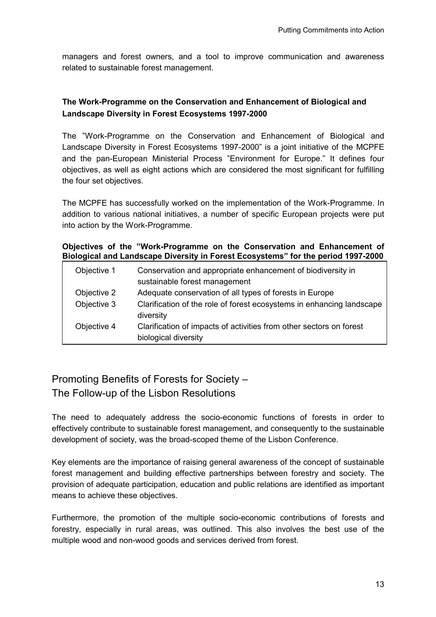managers and forest owners, and a tool to improve communication and awareness related to sustainable forest management.

#### **The Work-Programme on the Conservation and Enhancement of Biological and Landscape Diversity in Forest Ecosystems 1997-2000**

The "Work-Programme on the Conservation and Enhancement of Biological and Landscape Diversity in Forest Ecosystems 1997-2000" is a joint initiative of the MCPFE and the pan-European Ministerial Process "Environment for Europe." It defines four objectives, as well as eight actions which are considered the most significant for fulfilling the four set objectives.

The MCPFE has successfully worked on the implementation of the Work-Programme. In addition to various national initiatives, a number of specific European projects were put into action by the Work-Programme.

#### **Objectives of the "Work-Programme on the Conservation and Enhancement of Biological and Landscape Diversity in Forest Ecosystems" for the period 1997-2000**

| Objective 1 | Conservation and appropriate enhancement of biodiversity in           |
|-------------|-----------------------------------------------------------------------|
|             | sustainable forest management                                         |
| Objective 2 | Adequate conservation of all types of forests in Europe               |
| Objective 3 | Clarification of the role of forest ecosystems in enhancing landscape |
|             | diversity                                                             |
| Objective 4 | Clarification of impacts of activities from other sectors on forest   |
|             | biological diversity                                                  |

# Promoting Benefits of Forests for Society – The Follow-up of the Lisbon Resolutions

The need to adequately address the socio-economic functions of forests in order to effectively contribute to sustainable forest management, and consequently to the sustainable development of society, was the broad-scoped theme of the Lisbon Conference.

Key elements are the importance of raising general awareness of the concept of sustainable forest management and building effective partnerships between forestry and society. The provision of adequate participation, education and public relations are identified as important means to achieve these objectives.

Furthermore, the promotion of the multiple socio-economic contributions of forests and forestry, especially in rural areas, was outlined. This also involves the best use of the multiple wood and non-wood goods and services derived from forest.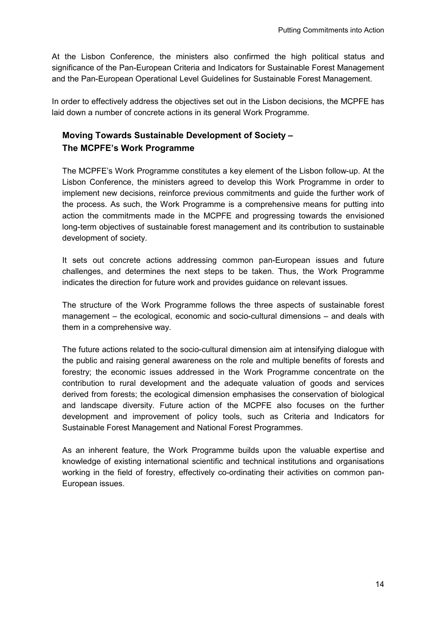At the Lisbon Conference, the ministers also confirmed the high political status and significance of the Pan-European Criteria and Indicators for Sustainable Forest Management and the Pan-European Operational Level Guidelines for Sustainable Forest Management.

In order to effectively address the objectives set out in the Lisbon decisions, the MCPFE has laid down a number of concrete actions in its general Work Programme.

### **Moving Towards Sustainable Development of Society – The MCPFE's Work Programme**

The MCPFE's Work Programme constitutes a key element of the Lisbon follow-up. At the Lisbon Conference, the ministers agreed to develop this Work Programme in order to implement new decisions, reinforce previous commitments and guide the further work of the process. As such, the Work Programme is a comprehensive means for putting into action the commitments made in the MCPFE and progressing towards the envisioned long-term objectives of sustainable forest management and its contribution to sustainable development of society.

It sets out concrete actions addressing common pan-European issues and future challenges, and determines the next steps to be taken. Thus, the Work Programme indicates the direction for future work and provides guidance on relevant issues.

The structure of the Work Programme follows the three aspects of sustainable forest management – the ecological, economic and socio-cultural dimensions – and deals with them in a comprehensive way.

The future actions related to the socio-cultural dimension aim at intensifying dialogue with the public and raising general awareness on the role and multiple benefits of forests and forestry; the economic issues addressed in the Work Programme concentrate on the contribution to rural development and the adequate valuation of goods and services derived from forests; the ecological dimension emphasises the conservation of biological and landscape diversity. Future action of the MCPFE also focuses on the further development and improvement of policy tools, such as Criteria and Indicators for Sustainable Forest Management and National Forest Programmes.

As an inherent feature, the Work Programme builds upon the valuable expertise and knowledge of existing international scientific and technical institutions and organisations working in the field of forestry, effectively co-ordinating their activities on common pan-European issues.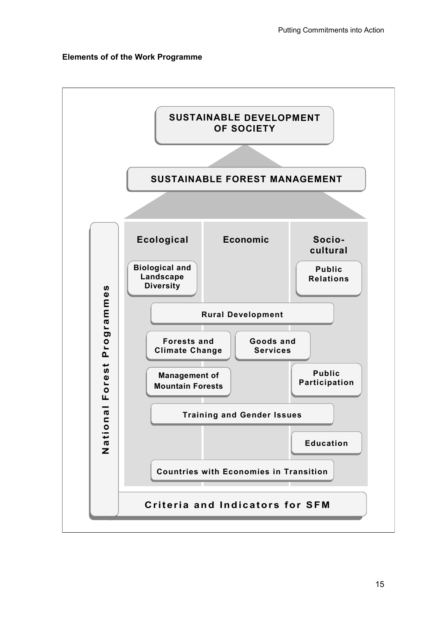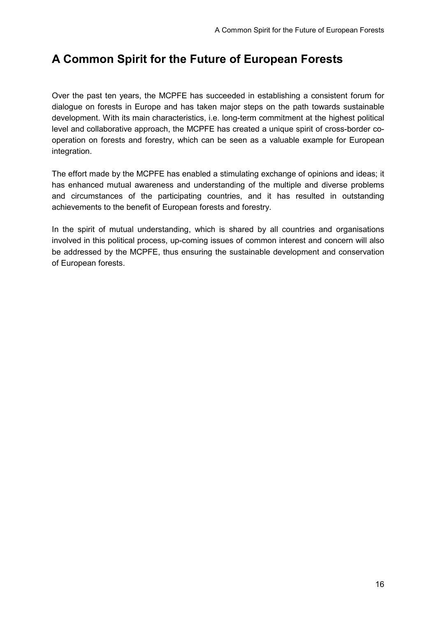# **A Common Spirit for the Future of European Forests**

Over the past ten years, the MCPFE has succeeded in establishing a consistent forum for dialogue on forests in Europe and has taken major steps on the path towards sustainable development. With its main characteristics, i.e. long-term commitment at the highest political level and collaborative approach, the MCPFE has created a unique spirit of cross-border cooperation on forests and forestry, which can be seen as a valuable example for European integration.

The effort made by the MCPFE has enabled a stimulating exchange of opinions and ideas; it has enhanced mutual awareness and understanding of the multiple and diverse problems and circumstances of the participating countries, and it has resulted in outstanding achievements to the benefit of European forests and forestry.

In the spirit of mutual understanding, which is shared by all countries and organisations involved in this political process, up-coming issues of common interest and concern will also be addressed by the MCPFE, thus ensuring the sustainable development and conservation of European forests.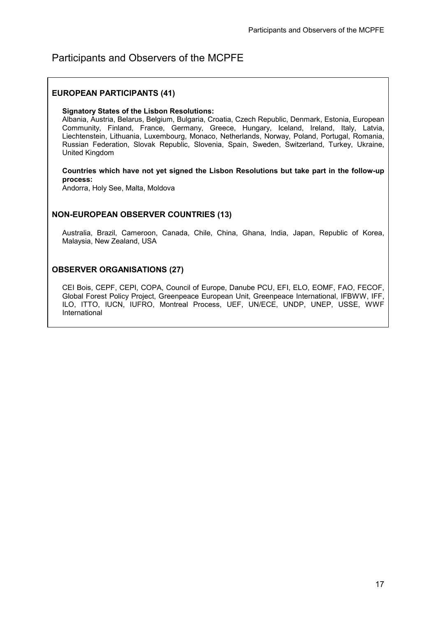### Participants and Observers of the MCPFE

#### **EUROPEAN PARTICIPANTS (41)**

#### **Signatory States of the Lisbon Resolutions:**

Albania, Austria, Belarus, Belgium, Bulgaria, Croatia, Czech Republic, Denmark, Estonia, European Community, Finland, France, Germany, Greece, Hungary, Iceland, Ireland, Italy, Latvia, Liechtenstein, Lithuania, Luxembourg, Monaco, Netherlands, Norway, Poland, Portugal, Romania, Russian Federation, Slovak Republic, Slovenia, Spain, Sweden, Switzerland, Turkey, Ukraine, United Kingdom

#### **Countries which have not yet signed the Lisbon Resolutions but take part in the follow-up process:**

Andorra, Holy See, Malta, Moldova

#### **NON-EUROPEAN OBSERVER COUNTRIES (13)**

Australia, Brazil, Cameroon, Canada, Chile, China, Ghana, India, Japan, Republic of Korea, Malaysia, New Zealand, USA

#### **OBSERVER ORGANISATIONS (27)**

CEI Bois, CEPF, CEPI, COPA, Council of Europe, Danube PCU, EFI, ELO, EOMF, FAO, FECOF, Global Forest Policy Project, Greenpeace European Unit, Greenpeace International, IFBWW, IFF, ILO, ITTO, IUCN, IUFRO, Montreal Process, UEF, UN/ECE, UNDP, UNEP, USSE, WWF International